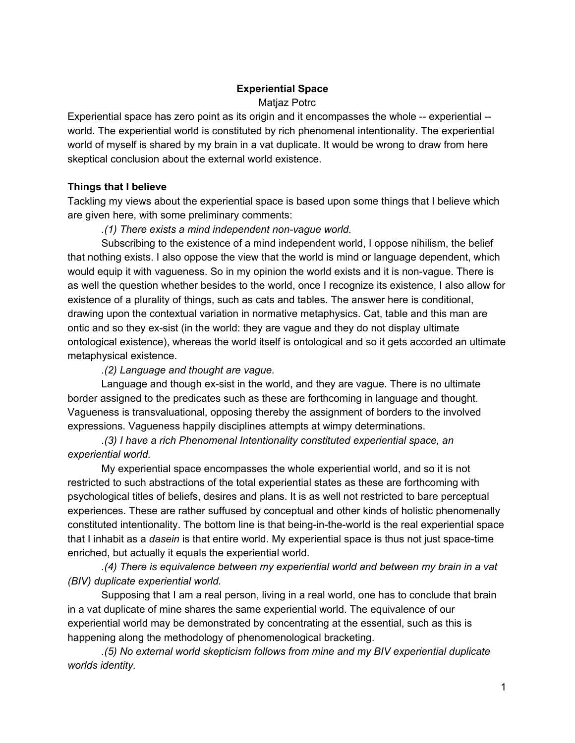# **Experiential Space**

## Matjaz Potrc

Experiential space has zero point as its origin and it encompasses the whole -- experiential -world. The experiential world is constituted by rich phenomenal intentionality. The experiential world of myself is shared by my brain in a vat duplicate. It would be wrong to draw from here skeptical conclusion about the external world existence.

## **Things that I believe**

Tackling my views about the experiential space is based upon some things that I believe which are given here, with some preliminary comments:

*.(1) There exists a mind independent nonvague world.*

Subscribing to the existence of a mind independent world, I oppose nihilism, the belief that nothing exists. I also oppose the view that the world is mind or language dependent, which would equip it with vagueness. So in my opinion the world exists and it is non-vague. There is as well the question whether besides to the world, once I recognize its existence, I also allow for existence of a plurality of things, such as cats and tables. The answer here is conditional, drawing upon the contextual variation in normative metaphysics. Cat, table and this man are ontic and so they ex-sist (in the world: they are vague and they do not display ultimate ontological existence), whereas the world itself is ontological and so it gets accorded an ultimate metaphysical existence.

*.(2) Language and thought are vague.*

Language and though ex-sist in the world, and they are vague. There is no ultimate border assigned to the predicates such as these are forthcoming in language and thought. Vagueness is transvaluational, opposing thereby the assignment of borders to the involved expressions. Vagueness happily disciplines attempts at wimpy determinations.

*.(3) I have a rich Phenomenal Intentionality constituted experiential space, an experiential world.*

My experiential space encompasses the whole experiential world, and so it is not restricted to such abstractions of the total experiential states as these are forthcoming with psychological titles of beliefs, desires and plans. It is as well not restricted to bare perceptual experiences. These are rather suffused by conceptual and other kinds of holistic phenomenally constituted intentionality. The bottom line is that being-in-the-world is the real experiential space that I inhabit as a *dasein* is that entire world. My experiential space is thus not just space-time enriched, but actually it equals the experiential world.

*.(4) There is equivalence between my experiential world and between my brain in a vat (BIV) duplicate experiential world.*

Supposing that I am a real person, living in a real world, one has to conclude that brain in a vat duplicate of mine shares the same experiential world. The equivalence of our experiential world may be demonstrated by concentrating at the essential, such as this is happening along the methodology of phenomenological bracketing.

*.(5) No external world skepticism follows from mine and my BIV experiential duplicate worlds identity.*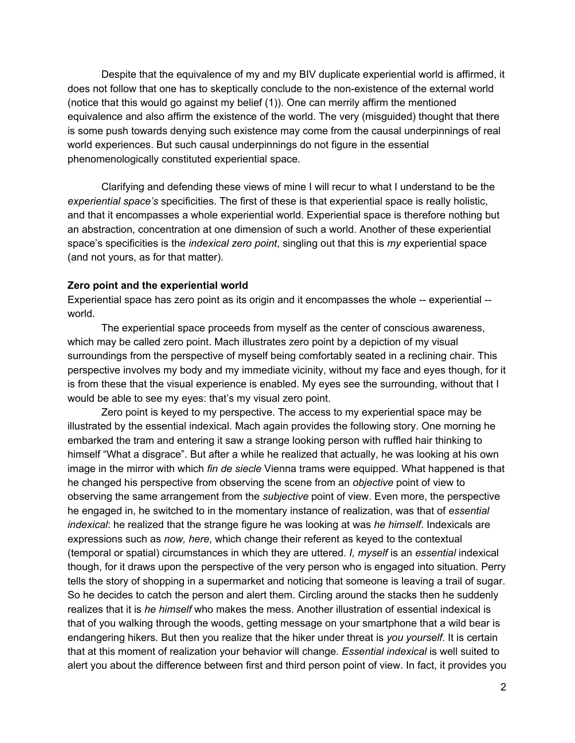Despite that the equivalence of my and my BIV duplicate experiential world is affirmed, it does not follow that one has to skeptically conclude to the non-existence of the external world (notice that this would go against my belief (1)). One can merrily affirm the mentioned equivalence and also affirm the existence of the world. The very (misguided) thought that there is some push towards denying such existence may come from the causal underpinnings of real world experiences. But such causal underpinnings do not figure in the essential phenomenologically constituted experiential space.

Clarifying and defending these views of mine I will recur to what I understand to be the *experiential space's* specificities. The first of these is that experiential space is really holistic, and that it encompasses a whole experiential world. Experiential space is therefore nothing but an abstraction, concentration at one dimension of such a world. Another of these experiential space's specificities is the *indexical zero point*, singling out that this is *my* experiential space (and not yours, as for that matter).

#### **Zero point and the experiential world**

Experiential space has zero point as its origin and it encompasses the whole -- experiential -world.

The experiential space proceeds from myself as the center of conscious awareness, which may be called zero point. Mach illustrates zero point by a depiction of my visual surroundings from the perspective of myself being comfortably seated in a reclining chair. This perspective involves my body and my immediate vicinity, without my face and eyes though, for it is from these that the visual experience is enabled. My eyes see the surrounding, without that I would be able to see my eyes: that's my visual zero point.

Zero point is keyed to my perspective. The access to my experiential space may be illustrated by the essential indexical. Mach again provides the following story. One morning he embarked the tram and entering it saw a strange looking person with ruffled hair thinking to himself "What a disgrace". But after a while he realized that actually, he was looking at his own image in the mirror with which *fin de siecle* Vienna trams were equipped. What happened is that he changed his perspective from observing the scene from an *objective* point of view to observing the same arrangement from the *subjective* point of view. Even more, the perspective he engaged in, he switched to in the momentary instance of realization, was that of *essential indexical*: he realized that the strange figure he was looking at was *he himself*. Indexicals are expressions such as *now, here*, which change their referent as keyed to the contextual (temporal or spatial) circumstances in which they are uttered. *I, myself* is an *essential* indexical though, for it draws upon the perspective of the very person who is engaged into situation. Perry tells the story of shopping in a supermarket and noticing that someone is leaving a trail of sugar. So he decides to catch the person and alert them. Circling around the stacks then he suddenly realizes that it is *he himself* who makes the mess. Another illustration of essential indexical is that of you walking through the woods, getting message on your smartphone that a wild bear is endangering hikers. But then you realize that the hiker under threat is *you yourself*. It is certain that at this moment of realization your behavior will change. *Essential indexical* is well suited to alert you about the difference between first and third person point of view. In fact, it provides you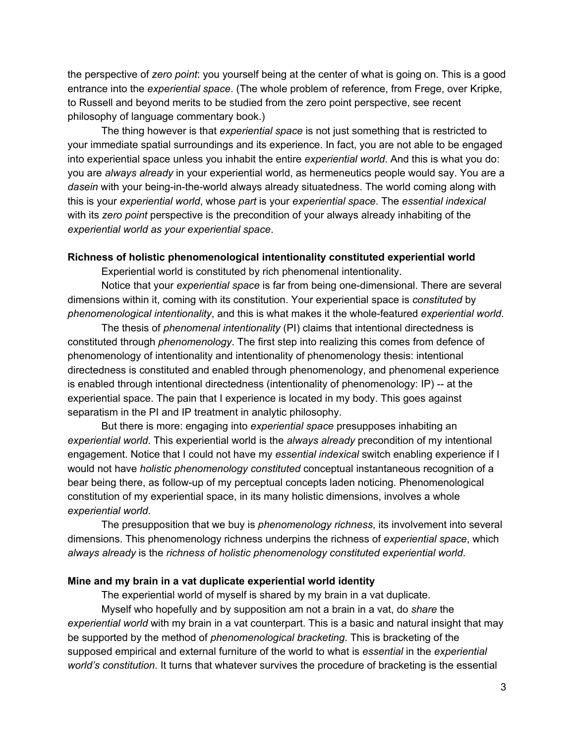the perspective of *zero point*: you yourself being at the center of what is going on. This is a good entrance into the *experiential space*. (The whole problem of reference, from Frege, over Kripke, to Russell and beyond merits to be studied from the zero point perspective, see recent philosophy of language commentary book.)

The thing however is that *experiential space* is not just something that is restricted to your immediate spatial surroundings and its experience. In fact, you are not able to be engaged into experiential space unless you inhabit the entire *experiential world*. And this is what you do: you are *always already* in your experiential world, as hermeneutics people would say. You are a *dasein* with your being-in-the-world always already situatedness. The world coming along with this is your *experiential world*, whose *part* is your *experiential space*. The *essential indexical* with its *zero point* perspective is the precondition of your always already inhabiting of the *experiential world as your experiential space*.

### **Richness of holistic phenomenological intentionality constituted experiential world**

Experiential world is constituted by rich phenomenal intentionality.

Notice that your *experiential space* is far from being one-dimensional. There are several dimensions within it, coming with its constitution. Your experiential space is *constituted* by *phenomenological intentionality*, and this is what makes it the whole-featured *experiential world*.

The thesis of *phenomenal intentionality* (PI) claims that intentional directedness is constituted through *phenomenology*. The first step into realizing this comes from defence of phenomenology of intentionality and intentionality of phenomenology thesis: intentional directedness is constituted and enabled through phenomenology, and phenomenal experience is enabled through intentional directedness (intentionality of phenomenology:  $IP$ ) -- at the experiential space. The pain that I experience is located in my body. This goes against separatism in the PI and IP treatment in analytic philosophy.

But there is more: engaging into *experiential space* presupposes inhabiting an *experiential world*. This experiential world is the *always already* precondition of my intentional engagement. Notice that I could not have my *essential indexical* switch enabling experience if I would not have *holistic phenomenology constituted* conceptual instantaneous recognition of a bear being there, as followup of my perceptual concepts laden noticing. Phenomenological constitution of my experiential space, in its many holistic dimensions, involves a whole *experiential world*.

The presupposition that we buy is *phenomenology richness*, its involvement into several dimensions. This phenomenology richness underpins the richness of *experiential space*, which *always already* is the *richness of holistic phenomenology constituted experiential world*.

#### **Mine and my brain in a vat duplicate experiential world identity**

The experiential world of myself is shared by my brain in a vat duplicate.

Myself who hopefully and by supposition am not a brain in a vat, do *share* the *experiential world* with my brain in a vat counterpart. This is a basic and natural insight that may be supported by the method of *phenomenological bracketing*. This is bracketing of the supposed empirical and external furniture of the world to what is *essential* in the *experiential world's constitution*. It turns that whatever survives the procedure of bracketing is the essential